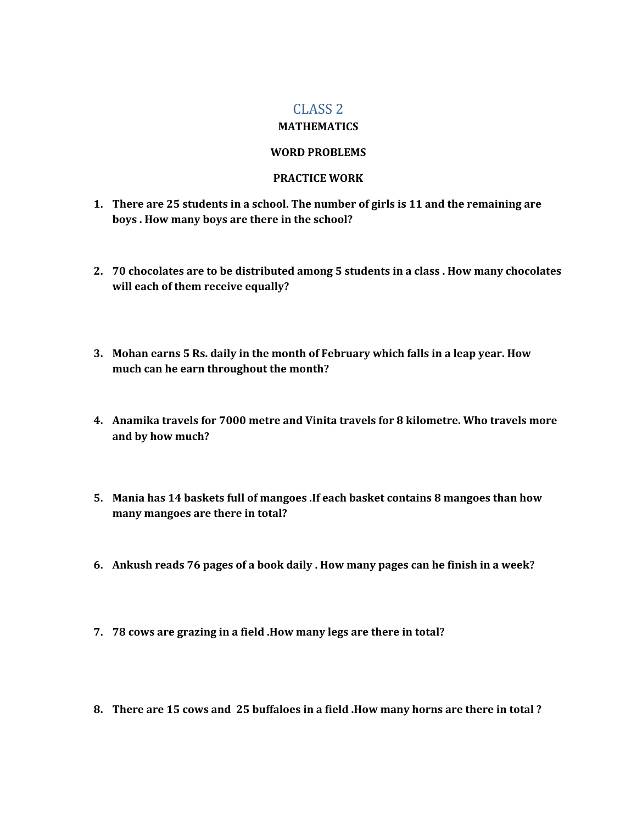## CLASS 2

## **MATHEMATICS**

## **WORD PROBLEMS**

## **PRACTICE WORK**

- **1. There are 25 students in a school. The number of girls is 11 and the remaining are boys . How many boys are there in the school?**
- **2. 70 chocolates are to be distributed among 5 students in a class . How many chocolates will each of them receive equally?**
- **3. Mohan earns 5 Rs. daily in the month of February which falls in a leap year. How much can he earn throughout the month?**
- **4. Anamika travels for 7000 metre and Vinita travels for 8 kilometre. Who travels more and by how much?**
- **5. Mania has 14 baskets full of mangoes .If each basket contains 8 mangoes than how many mangoes are there in total?**
- **6. Ankush reads 76 pages of a book daily . How many pages can he finish in a week?**
- **7. 78 cows are grazing in a field .How many legs are there in total?**
- **8. There are 15 cows and 25 buffaloes in a field .How many horns are there in total ?**